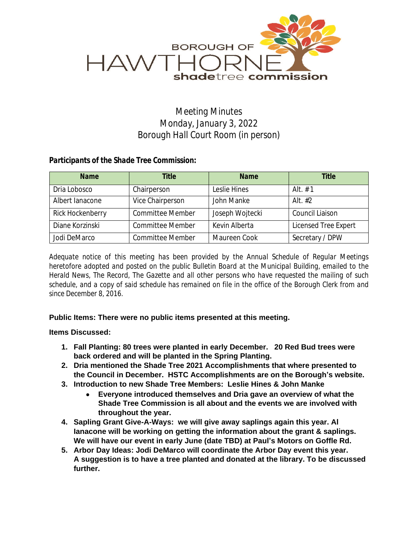

## *Meeting Minutes Monday, January 3, 2022 Borough Hall Court Room (in person)*

## *Participants of the Shade Tree Commission:*

| <b>Name</b>      | <b>Title</b>            | <b>Name</b>     | <b>Title</b>         |
|------------------|-------------------------|-----------------|----------------------|
| Dria Lobosco     | Chairperson             | Leslie Hines    | Alt $# 1$            |
| Albert lanacone  | Vice Chairperson        | John Manke      | Alt. $#2$            |
| Rick Hockenberry | <b>Committee Member</b> | Joseph Wojtecki | Council Liaison      |
| Diane Korzinski  | <b>Committee Member</b> | Kevin Alberta   | Licensed Tree Expert |
| Jodi DeMarco     | <b>Committee Member</b> | Maureen Cook    | Secretary / DPW      |

*Adequate notice of this meeting has been provided by the Annual Schedule of Regular Meetings heretofore adopted and posted on the public Bulletin Board at the Municipal Building, emailed to the Herald News, The Record, The Gazette and all other persons who have requested the mailing of such* schedule, and a copy of said schedule has remained on file in the office of the Borough Clerk from and *since December 8, 2016.*

## **Public Items: There were no public items presented at this meeting.**

## **Items Discussed:**

- **1. Fall Planting: 80 trees were planted in early December. 20 Red Bud trees were back ordered and will be planted in the Spring Planting.**
- **2. Dria mentioned the Shade Tree 2021 Accomplishments that where presented to the Council in December. HSTC Accomplishments are on the Borough's website.**
- **3. Introduction to new Shade Tree Members: Leslie Hines & John Manke**
	- **Everyone introduced themselves and Dria gave an overview of what the Shade Tree Commission is all about and the events we are involved with throughout the year.**
- **4. Sapling Grant Give-A-Ways: we will give away saplings again this year. Al Ianacone will be working on getting the information about the grant & saplings. We will have our event in early June (date TBD) at Paul's Motors on Goffle Rd.**
- **5. Arbor Day Ideas: Jodi DeMarco will coordinate the Arbor Day event this year. A suggestion is to have a tree planted and donated at the library. To be discussed further.**